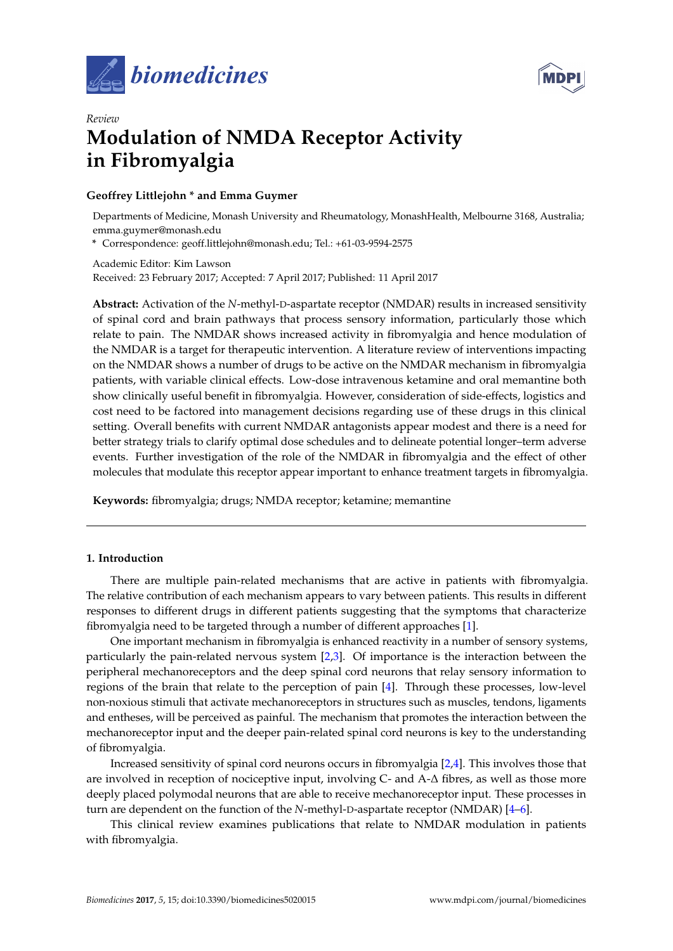



# *Review* **Modulation of NMDA Receptor Activity in Fibromyalgia**

# **Geoffrey Littlejohn \* and Emma Guymer**

Departments of Medicine, Monash University and Rheumatology, MonashHealth, Melbourne 3168, Australia; emma.guymer@monash.edu

**\*** Correspondence: geoff.littlejohn@monash.edu; Tel.: +61-03-9594-2575

Academic Editor: Kim Lawson Received: 23 February 2017; Accepted: 7 April 2017; Published: 11 April 2017

**Abstract:** Activation of the *N*-methyl-D-aspartate receptor (NMDAR) results in increased sensitivity of spinal cord and brain pathways that process sensory information, particularly those which relate to pain. The NMDAR shows increased activity in fibromyalgia and hence modulation of the NMDAR is a target for therapeutic intervention. A literature review of interventions impacting on the NMDAR shows a number of drugs to be active on the NMDAR mechanism in fibromyalgia patients, with variable clinical effects. Low-dose intravenous ketamine and oral memantine both show clinically useful benefit in fibromyalgia. However, consideration of side-effects, logistics and cost need to be factored into management decisions regarding use of these drugs in this clinical setting. Overall benefits with current NMDAR antagonists appear modest and there is a need for better strategy trials to clarify optimal dose schedules and to delineate potential longer–term adverse events. Further investigation of the role of the NMDAR in fibromyalgia and the effect of other molecules that modulate this receptor appear important to enhance treatment targets in fibromyalgia.

**Keywords:** fibromyalgia; drugs; NMDA receptor; ketamine; memantine

#### **1. Introduction**

There are multiple pain-related mechanisms that are active in patients with fibromyalgia. The relative contribution of each mechanism appears to vary between patients. This results in different responses to different drugs in different patients suggesting that the symptoms that characterize fibromyalgia need to be targeted through a number of different approaches [\[1\]](#page-6-0).

One important mechanism in fibromyalgia is enhanced reactivity in a number of sensory systems, particularly the pain-related nervous system [\[2](#page-6-1)[,3\]](#page-6-2). Of importance is the interaction between the peripheral mechanoreceptors and the deep spinal cord neurons that relay sensory information to regions of the brain that relate to the perception of pain [\[4\]](#page-6-3). Through these processes, low-level non-noxious stimuli that activate mechanoreceptors in structures such as muscles, tendons, ligaments and entheses, will be perceived as painful. The mechanism that promotes the interaction between the mechanoreceptor input and the deeper pain-related spinal cord neurons is key to the understanding of fibromyalgia.

Increased sensitivity of spinal cord neurons occurs in fibromyalgia [\[2,](#page-6-1)[4\]](#page-6-3). This involves those that are involved in reception of nociceptive input, involving C- and A-∆ fibres, as well as those more deeply placed polymodal neurons that are able to receive mechanoreceptor input. These processes in turn are dependent on the function of the *N*-methyl-D-aspartate receptor (NMDAR) [\[4](#page-6-3)[–6\]](#page-6-4).

This clinical review examines publications that relate to NMDAR modulation in patients with fibromyalgia.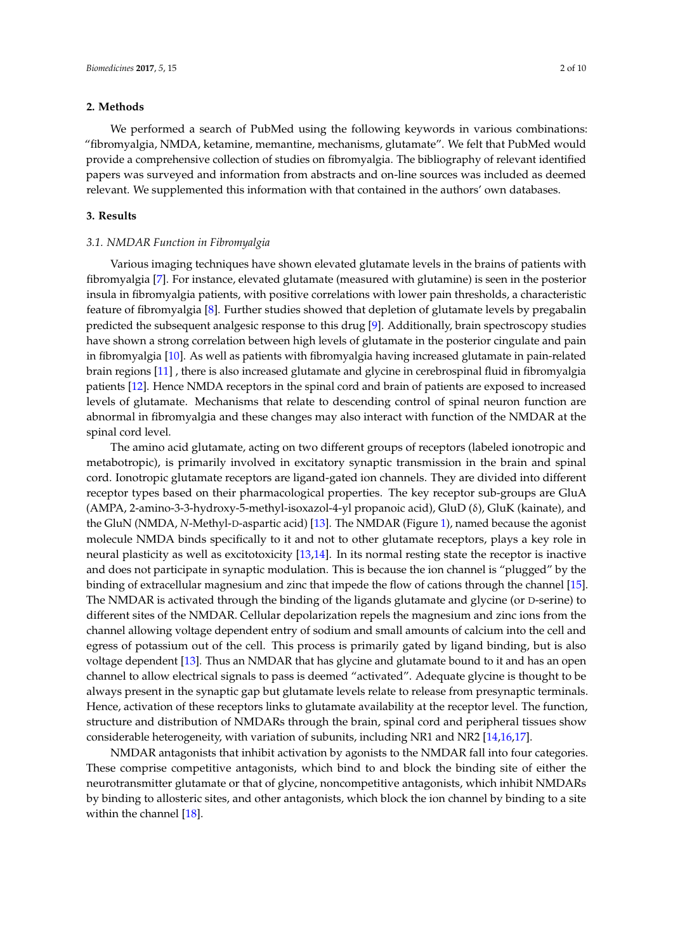#### **2. Methods**

We performed a search of PubMed using the following keywords in various combinations: "fibromyalgia, NMDA, ketamine, memantine, mechanisms, glutamate". We felt that PubMed would provide a comprehensive collection of studies on fibromyalgia. The bibliography of relevant identified papers was surveyed and information from abstracts and on-line sources was included as deemed relevant. We supplemented this information with that contained in the authors' own databases.

# **3. Results**

#### *3.1. NMDAR Function in Fibromyalgia*

Various imaging techniques have shown elevated glutamate levels in the brains of patients with fibromyalgia [\[7\]](#page-6-5). For instance, elevated glutamate (measured with glutamine) is seen in the posterior insula in fibromyalgia patients, with positive correlations with lower pain thresholds, a characteristic feature of fibromyalgia [\[8\]](#page-6-6). Further studies showed that depletion of glutamate levels by pregabalin predicted the subsequent analgesic response to this drug [\[9\]](#page-6-7). Additionally, brain spectroscopy studies have shown a strong correlation between high levels of glutamate in the posterior cingulate and pain in fibromyalgia [\[10\]](#page-7-0). As well as patients with fibromyalgia having increased glutamate in pain-related brain regions [\[11\]](#page-7-1) , there is also increased glutamate and glycine in cerebrospinal fluid in fibromyalgia patients [\[12\]](#page-7-2). Hence NMDA receptors in the spinal cord and brain of patients are exposed to increased levels of glutamate. Mechanisms that relate to descending control of spinal neuron function are abnormal in fibromyalgia and these changes may also interact with function of the NMDAR at the spinal cord level.

The amino acid glutamate, acting on two different groups of receptors (labeled ionotropic and metabotropic), is primarily involved in excitatory synaptic transmission in the brain and spinal cord. Ionotropic glutamate receptors are ligand-gated ion channels. They are divided into different receptor types based on their pharmacological properties. The key receptor sub-groups are GluA (AMPA, 2-amino-3-3-hydroxy-5-methyl-isoxazol-4-yl propanoic acid), GluD (δ), GluK (kainate), and the GluN (NMDA, *N*-Methyl-D-aspartic acid) [\[13\]](#page-7-3). The NMDAR (Figure [1\)](#page-2-0), named because the agonist molecule NMDA binds specifically to it and not to other glutamate receptors, plays a key role in neural plasticity as well as excitotoxicity [\[13,](#page-7-3)[14\]](#page-7-4). In its normal resting state the receptor is inactive and does not participate in synaptic modulation. This is because the ion channel is "plugged" by the binding of extracellular magnesium and zinc that impede the flow of cations through the channel [\[15\]](#page-7-5). The NMDAR is activated through the binding of the ligands glutamate and glycine (or D-serine) to different sites of the NMDAR. Cellular depolarization repels the magnesium and zinc ions from the channel allowing voltage dependent entry of sodium and small amounts of calcium into the cell and egress of potassium out of the cell. This process is primarily gated by ligand binding, but is also voltage dependent [\[13\]](#page-7-3). Thus an NMDAR that has glycine and glutamate bound to it and has an open channel to allow electrical signals to pass is deemed "activated". Adequate glycine is thought to be always present in the synaptic gap but glutamate levels relate to release from presynaptic terminals. Hence, activation of these receptors links to glutamate availability at the receptor level. The function, structure and distribution of NMDARs through the brain, spinal cord and peripheral tissues show considerable heterogeneity, with variation of subunits, including NR1 and NR2 [\[14](#page-7-4)[,16](#page-7-6)[,17\]](#page-7-7).

NMDAR antagonists that inhibit activation by agonists to the NMDAR fall into four categories. These comprise competitive antagonists, which bind to and block the binding site of either the neurotransmitter glutamate or that of glycine, noncompetitive antagonists, which inhibit NMDARs by binding to allosteric sites, and other antagonists, which block the ion channel by binding to a site within the channel [\[18\]](#page-7-8).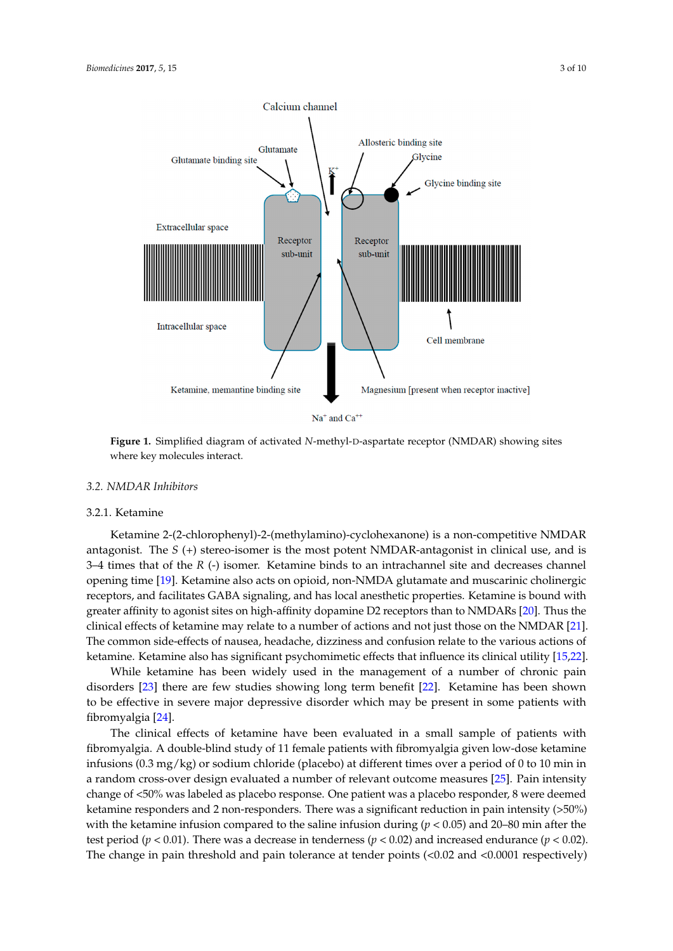<span id="page-2-0"></span>

 $Na<sup>+</sup>$  and  $Ca<sup>++</sup>$ 

**Figure 1.** Simplified diagram of activated *N*-methyl-D-aspartate receptor (NMDAR) showing sites **Figure 1.** Simplified diagram of activated *N*-methyl-D-aspartate receptor (NMDAR) showing sites where key molecules interact. where key molecules interact.

## *3.2. NMDAR Inhibitors 3.2. NMDAR Inhibitors*

# 3.2.1. Ketamine 3.2.1. Ketamine

Ketamine 2-(2-chlorophenyl)-2-(methylamino)-cyclohexanone) is a non-competitive NMDAR Ketamine 2-(2-chlorophenyl)-2-(methylamino)-cyclohexanone) is a non-competitive NMDAR antagonist. The *S* (+) stereo-isomer is the most potent NMDAR-antagonist in clinical use, and is 3–4 times that of the *R* (-) isomer. Ketamine binds to an intrachannel site and decreases channel opening time [\[19\]](#page-7-9). Ketamine also acts on opioid, non-NMDA glutamate and muscarinic cholinergic receptors, and facilitates GABA signaling, and has local anesthetic properties. Ketamine is bound with affinity to agonist sites on high-affinity dopamine D2 receptors than to NMDARs [20]. Thus the greater affinity to agonist sites on high-affinity dopamine D2 receptors than to NMDARs [\[20\]](#page-7-10). Thus the clinical effects of ketamine may relate to a number of actions and not just those on the NMDAR [21]. clinical effects of ketamine may relate to a number of actions and not just those on the NMDAR [\[21\]](#page-7-11). The common side-effects of nausea, headache, dizziness and confusion relate to the various actions The common side-effects of nausea, headache, dizziness and confusion relate to the various actions of ketamine. Ketamine also has significant psychomimetic effects that influence its clinical utility [\[15,](#page-7-5)[22\]](#page-7-12).

While ketamine has been widely used in the management of a number of chronic pain disorders [\[23\]](#page-7-13) there are few studies showing long term benefit [\[22\]](#page-7-12). Ketamine has been shown to be effective in severe major depressive disorder which may be present in some patients with  $s$  fibromyalgia [\[24\]](#page-7-14).

The clinical effects of ketamine have been evaluated in a small sample of patients with The clinical effects of ketamine have been evaluated in a small sample of patients with fibromyalgia. A double-blind study of 11 female patients with fibromyalgia given low-dose ketamine fibromyalgia. A double-blind study of 11 female patients with fibromyalgia given low-dose ketamine infusions (0.3 mg/kg) or sodium chloride (placebo) at different times over a period of 0 to 10 min in random cross-over design evaluated a number of relevant outcome measures [25]. Pain intensity a random cross-over design evaluated a number of relevant outcome measures [\[25\]](#page-7-15). Pain intensity change of <50% was labeled as placebo response. One patient was a placebo responder, 8 were deemed ketamine responders and 2 non-responders. There was a significant reduction in pain intensity  $($ >50%) with the ketamine infusion compared to the saline infusion during ( $p < 0.05$ ) and 20–80 min after the test period ( $p < 0.01$ ). There was a decrease in tenderness ( $p < 0.02$ ) and increased endurance ( $p < 0.02$ ). The change in pain threshold and pain tolerance at tender points (<0.02 and <0.0001 respectively)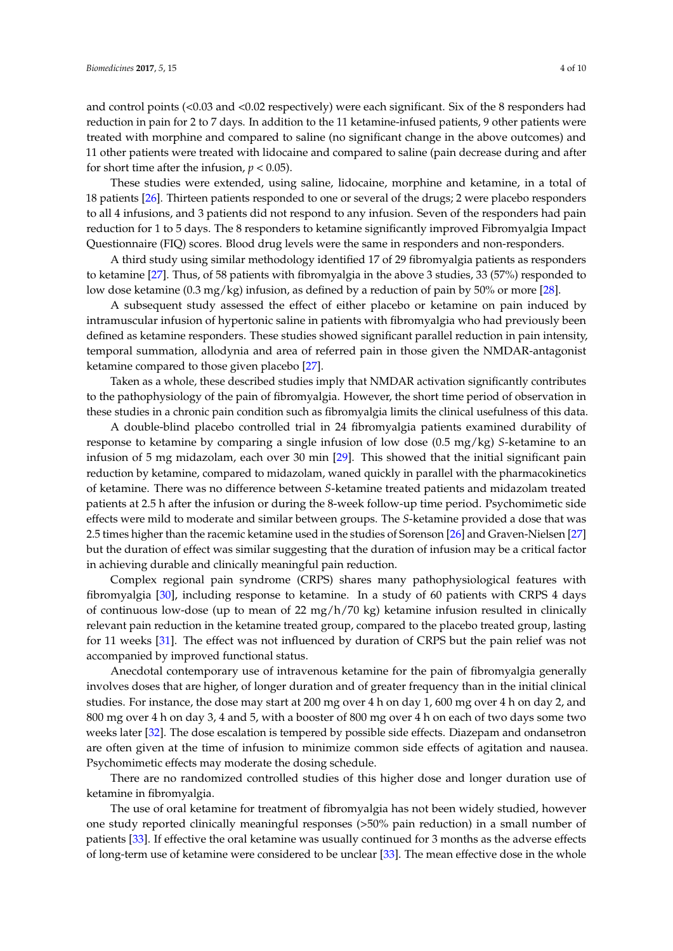and control points (<0.03 and <0.02 respectively) were each significant. Six of the 8 responders had reduction in pain for 2 to 7 days. In addition to the 11 ketamine-infused patients, 9 other patients were treated with morphine and compared to saline (no significant change in the above outcomes) and 11 other patients were treated with lidocaine and compared to saline (pain decrease during and after for short time after the infusion,  $p < 0.05$ ).

These studies were extended, using saline, lidocaine, morphine and ketamine, in a total of 18 patients [\[26\]](#page-7-16). Thirteen patients responded to one or several of the drugs; 2 were placebo responders to all 4 infusions, and 3 patients did not respond to any infusion. Seven of the responders had pain reduction for 1 to 5 days. The 8 responders to ketamine significantly improved Fibromyalgia Impact Questionnaire (FIQ) scores. Blood drug levels were the same in responders and non-responders.

A third study using similar methodology identified 17 of 29 fibromyalgia patients as responders to ketamine [\[27\]](#page-7-17). Thus, of 58 patients with fibromyalgia in the above 3 studies, 33 (57%) responded to low dose ketamine (0.3 mg/kg) infusion, as defined by a reduction of pain by 50% or more [\[28\]](#page-7-18).

A subsequent study assessed the effect of either placebo or ketamine on pain induced by intramuscular infusion of hypertonic saline in patients with fibromyalgia who had previously been defined as ketamine responders. These studies showed significant parallel reduction in pain intensity, temporal summation, allodynia and area of referred pain in those given the NMDAR-antagonist ketamine compared to those given placebo [\[27\]](#page-7-17).

Taken as a whole, these described studies imply that NMDAR activation significantly contributes to the pathophysiology of the pain of fibromyalgia. However, the short time period of observation in these studies in a chronic pain condition such as fibromyalgia limits the clinical usefulness of this data.

A double-blind placebo controlled trial in 24 fibromyalgia patients examined durability of response to ketamine by comparing a single infusion of low dose (0.5 mg/kg) *S*-ketamine to an infusion of 5 mg midazolam, each over 30 min [\[29\]](#page-7-19). This showed that the initial significant pain reduction by ketamine, compared to midazolam, waned quickly in parallel with the pharmacokinetics of ketamine. There was no difference between *S*-ketamine treated patients and midazolam treated patients at 2.5 h after the infusion or during the 8-week follow-up time period. Psychomimetic side effects were mild to moderate and similar between groups. The *S*-ketamine provided a dose that was 2.5 times higher than the racemic ketamine used in the studies of Sorenson [\[26\]](#page-7-16) and Graven-Nielsen [\[27\]](#page-7-17) but the duration of effect was similar suggesting that the duration of infusion may be a critical factor in achieving durable and clinically meaningful pain reduction.

Complex regional pain syndrome (CRPS) shares many pathophysiological features with fibromyalgia [\[30\]](#page-7-20), including response to ketamine. In a study of 60 patients with CRPS 4 days of continuous low-dose (up to mean of  $22 \text{ mg/h}/70 \text{ kg}$ ) ketamine infusion resulted in clinically relevant pain reduction in the ketamine treated group, compared to the placebo treated group, lasting for 11 weeks [\[31\]](#page-8-0). The effect was not influenced by duration of CRPS but the pain relief was not accompanied by improved functional status.

Anecdotal contemporary use of intravenous ketamine for the pain of fibromyalgia generally involves doses that are higher, of longer duration and of greater frequency than in the initial clinical studies. For instance, the dose may start at 200 mg over 4 h on day 1, 600 mg over 4 h on day 2, and 800 mg over 4 h on day 3, 4 and 5, with a booster of 800 mg over 4 h on each of two days some two weeks later [\[32\]](#page-8-1). The dose escalation is tempered by possible side effects. Diazepam and ondansetron are often given at the time of infusion to minimize common side effects of agitation and nausea. Psychomimetic effects may moderate the dosing schedule.

There are no randomized controlled studies of this higher dose and longer duration use of ketamine in fibromyalgia.

The use of oral ketamine for treatment of fibromyalgia has not been widely studied, however one study reported clinically meaningful responses (>50% pain reduction) in a small number of patients [\[33\]](#page-8-2). If effective the oral ketamine was usually continued for 3 months as the adverse effects of long-term use of ketamine were considered to be unclear [\[33\]](#page-8-2). The mean effective dose in the whole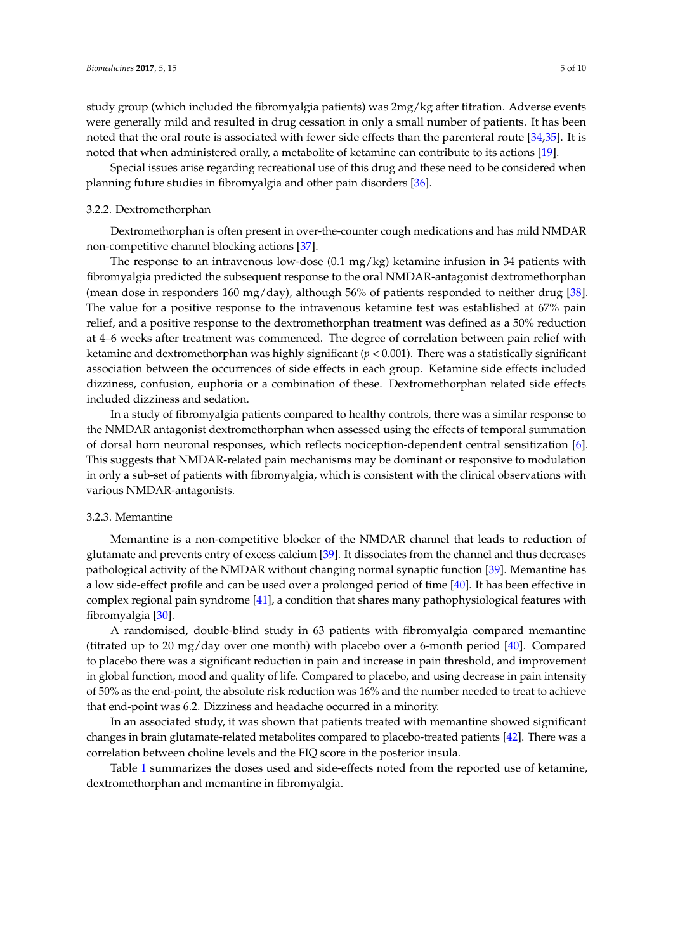study group (which included the fibromyalgia patients) was 2mg/kg after titration. Adverse events were generally mild and resulted in drug cessation in only a small number of patients. It has been noted that the oral route is associated with fewer side effects than the parenteral route [\[34](#page-8-3)[,35\]](#page-8-4). It is noted that when administered orally, a metabolite of ketamine can contribute to its actions [\[19\]](#page-7-9).

Special issues arise regarding recreational use of this drug and these need to be considered when planning future studies in fibromyalgia and other pain disorders [\[36\]](#page-8-5).

#### 3.2.2. Dextromethorphan

Dextromethorphan is often present in over-the-counter cough medications and has mild NMDAR non-competitive channel blocking actions [\[37\]](#page-8-6).

The response to an intravenous low-dose  $(0.1 \text{ mg/kg})$  ketamine infusion in 34 patients with fibromyalgia predicted the subsequent response to the oral NMDAR-antagonist dextromethorphan (mean dose in responders 160 mg/day), although 56% of patients responded to neither drug [\[38\]](#page-8-7). The value for a positive response to the intravenous ketamine test was established at 67% pain relief, and a positive response to the dextromethorphan treatment was defined as a 50% reduction at 4–6 weeks after treatment was commenced. The degree of correlation between pain relief with ketamine and dextromethorphan was highly significant  $(p < 0.001)$ . There was a statistically significant association between the occurrences of side effects in each group. Ketamine side effects included dizziness, confusion, euphoria or a combination of these. Dextromethorphan related side effects included dizziness and sedation.

In a study of fibromyalgia patients compared to healthy controls, there was a similar response to the NMDAR antagonist dextromethorphan when assessed using the effects of temporal summation of dorsal horn neuronal responses, which reflects nociception-dependent central sensitization [\[6\]](#page-6-4). This suggests that NMDAR-related pain mechanisms may be dominant or responsive to modulation in only a sub-set of patients with fibromyalgia, which is consistent with the clinical observations with various NMDAR-antagonists.

## 3.2.3. Memantine

Memantine is a non-competitive blocker of the NMDAR channel that leads to reduction of glutamate and prevents entry of excess calcium [\[39\]](#page-8-8). It dissociates from the channel and thus decreases pathological activity of the NMDAR without changing normal synaptic function [\[39\]](#page-8-8). Memantine has a low side-effect profile and can be used over a prolonged period of time [\[40\]](#page-8-9). It has been effective in complex regional pain syndrome [\[41\]](#page-8-10), a condition that shares many pathophysiological features with fibromyalgia [\[30\]](#page-7-20).

A randomised, double-blind study in 63 patients with fibromyalgia compared memantine (titrated up to 20 mg/day over one month) with placebo over a 6-month period [\[40\]](#page-8-9). Compared to placebo there was a significant reduction in pain and increase in pain threshold, and improvement in global function, mood and quality of life. Compared to placebo, and using decrease in pain intensity of 50% as the end-point, the absolute risk reduction was 16% and the number needed to treat to achieve that end-point was 6.2. Dizziness and headache occurred in a minority.

In an associated study, it was shown that patients treated with memantine showed significant changes in brain glutamate-related metabolites compared to placebo-treated patients [\[42\]](#page-8-11). There was a correlation between choline levels and the FIQ score in the posterior insula.

Table [1](#page-5-0) summarizes the doses used and side-effects noted from the reported use of ketamine, dextromethorphan and memantine in fibromyalgia.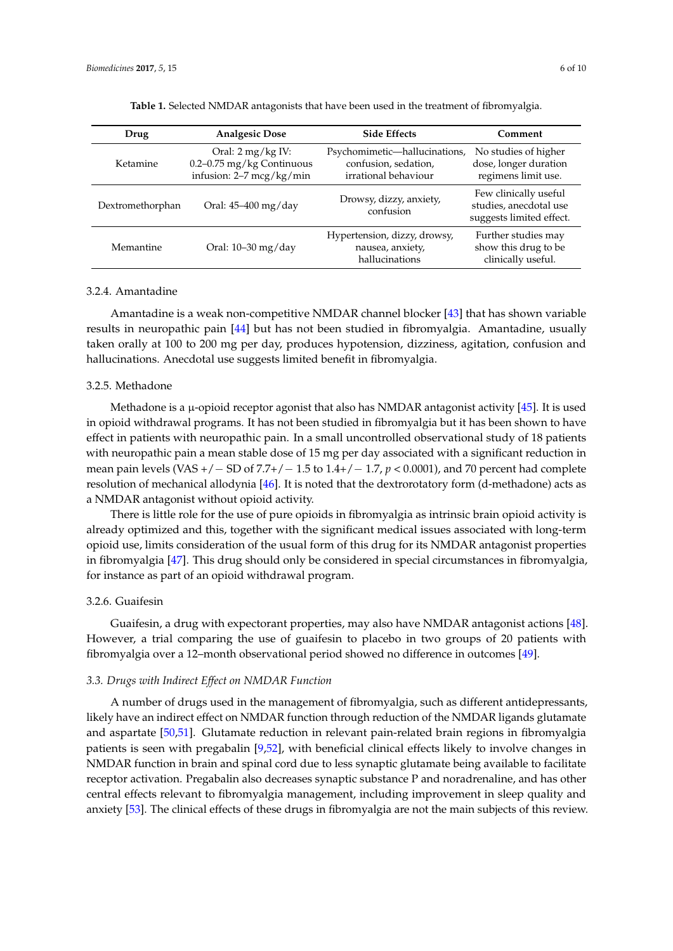<span id="page-5-0"></span>

| Drug             | <b>Analgesic Dose</b>                                                                              | <b>Side Effects</b>                                                           | Comment                                                                     |
|------------------|----------------------------------------------------------------------------------------------------|-------------------------------------------------------------------------------|-----------------------------------------------------------------------------|
| Ketamine         | Oral: $2 \frac{\text{mg}}{\text{kg}}$ IV:<br>0.2-0.75 mg/kg Continuous<br>infusion: 2-7 mcg/kg/min | Psychomimetic-hallucinations,<br>confusion, sedation,<br>irrational behaviour | No studies of higher<br>dose, longer duration<br>regimens limit use.        |
| Dextromethorphan | Oral: 45-400 mg/day                                                                                | Drowsy, dizzy, anxiety,<br>confusion                                          | Few clinically useful<br>studies, anecdotal use<br>suggests limited effect. |
| Memantine        | Oral: 10-30 mg/day                                                                                 | Hypertension, dizzy, drowsy,<br>nausea, anxiety,<br>hallucinations            | Further studies may<br>show this drug to be<br>clinically useful.           |

| Table 1. Selected NMDAR antagonists that have been used in the treatment of fibromyalgia. |  |  |  |
|-------------------------------------------------------------------------------------------|--|--|--|
|-------------------------------------------------------------------------------------------|--|--|--|

## 3.2.4. Amantadine

Amantadine is a weak non-competitive NMDAR channel blocker [\[43\]](#page-8-12) that has shown variable results in neuropathic pain [\[44\]](#page-8-13) but has not been studied in fibromyalgia. Amantadine, usually taken orally at 100 to 200 mg per day, produces hypotension, dizziness, agitation, confusion and hallucinations. Anecdotal use suggests limited benefit in fibromyalgia.

#### 3.2.5. Methadone

Methadone is a  $\mu$ -opioid receptor agonist that also has NMDAR antagonist activity [\[45\]](#page-8-14). It is used in opioid withdrawal programs. It has not been studied in fibromyalgia but it has been shown to have effect in patients with neuropathic pain. In a small uncontrolled observational study of 18 patients with neuropathic pain a mean stable dose of 15 mg per day associated with a significant reduction in mean pain levels (VAS +/− SD of 7.7+/− 1.5 to 1.4+/− 1.7, *p* < 0.0001), and 70 percent had complete resolution of mechanical allodynia [\[46\]](#page-8-15). It is noted that the dextrorotatory form (d-methadone) acts as a NMDAR antagonist without opioid activity.

There is little role for the use of pure opioids in fibromyalgia as intrinsic brain opioid activity is already optimized and this, together with the significant medical issues associated with long-term opioid use, limits consideration of the usual form of this drug for its NMDAR antagonist properties in fibromyalgia [\[47\]](#page-8-16). This drug should only be considered in special circumstances in fibromyalgia, for instance as part of an opioid withdrawal program.

#### 3.2.6. Guaifesin

Guaifesin, a drug with expectorant properties, may also have NMDAR antagonist actions [\[48\]](#page-8-17). However, a trial comparing the use of guaifesin to placebo in two groups of 20 patients with fibromyalgia over a 12–month observational period showed no difference in outcomes [\[49\]](#page-8-18).

#### *3.3. Drugs with Indirect Effect on NMDAR Function*

A number of drugs used in the management of fibromyalgia, such as different antidepressants, likely have an indirect effect on NMDAR function through reduction of the NMDAR ligands glutamate and aspartate [\[50](#page-8-19)[,51\]](#page-9-0). Glutamate reduction in relevant pain-related brain regions in fibromyalgia patients is seen with pregabalin [\[9,](#page-6-7)[52\]](#page-9-1), with beneficial clinical effects likely to involve changes in NMDAR function in brain and spinal cord due to less synaptic glutamate being available to facilitate receptor activation. Pregabalin also decreases synaptic substance P and noradrenaline, and has other central effects relevant to fibromyalgia management, including improvement in sleep quality and anxiety [\[53\]](#page-9-2). The clinical effects of these drugs in fibromyalgia are not the main subjects of this review.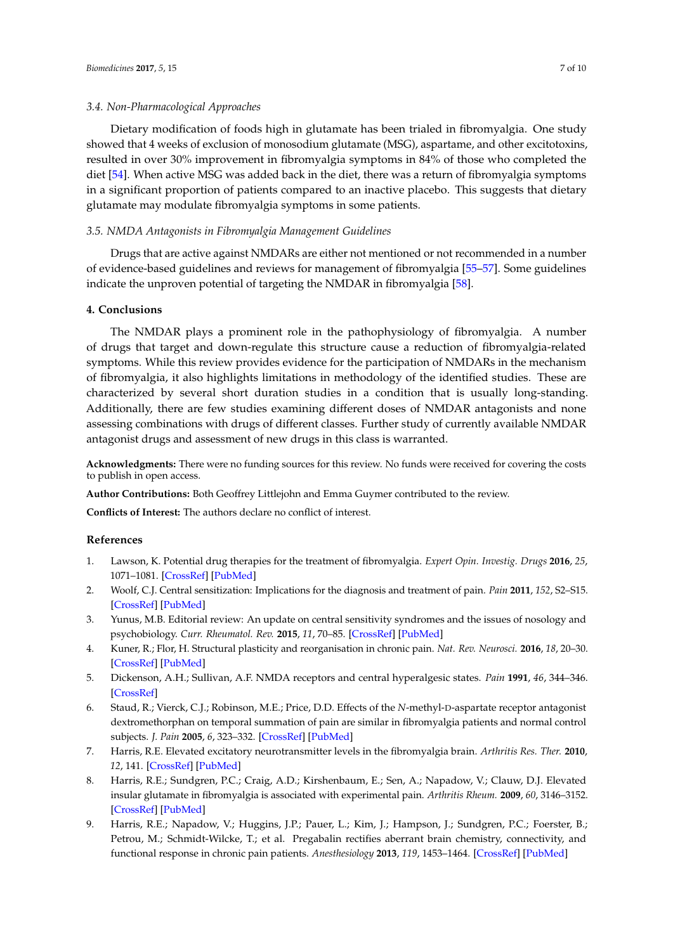#### *3.4. Non-Pharmacological Approaches*

Dietary modification of foods high in glutamate has been trialed in fibromyalgia. One study showed that 4 weeks of exclusion of monosodium glutamate (MSG), aspartame, and other excitotoxins, resulted in over 30% improvement in fibromyalgia symptoms in 84% of those who completed the diet [\[54\]](#page-9-3). When active MSG was added back in the diet, there was a return of fibromyalgia symptoms in a significant proportion of patients compared to an inactive placebo. This suggests that dietary glutamate may modulate fibromyalgia symptoms in some patients.

#### *3.5. NMDA Antagonists in Fibromyalgia Management Guidelines*

Drugs that are active against NMDARs are either not mentioned or not recommended in a number of evidence-based guidelines and reviews for management of fibromyalgia [\[55](#page-9-4)[–57\]](#page-9-5). Some guidelines indicate the unproven potential of targeting the NMDAR in fibromyalgia [\[58\]](#page-9-6).

## **4. Conclusions**

The NMDAR plays a prominent role in the pathophysiology of fibromyalgia. A number of drugs that target and down-regulate this structure cause a reduction of fibromyalgia-related symptoms. While this review provides evidence for the participation of NMDARs in the mechanism of fibromyalgia, it also highlights limitations in methodology of the identified studies. These are characterized by several short duration studies in a condition that is usually long-standing. Additionally, there are few studies examining different doses of NMDAR antagonists and none assessing combinations with drugs of different classes. Further study of currently available NMDAR antagonist drugs and assessment of new drugs in this class is warranted.

**Acknowledgments:** There were no funding sources for this review. No funds were received for covering the costs to publish in open access.

**Author Contributions:** Both Geoffrey Littlejohn and Emma Guymer contributed to the review.

**Conflicts of Interest:** The authors declare no conflict of interest.

## **References**

- <span id="page-6-0"></span>1. Lawson, K. Potential drug therapies for the treatment of fibromyalgia. *Expert Opin. Investig. Drugs* **2016**, *25*, 1071–1081. [\[CrossRef\]](http://dx.doi.org/10.1080/13543784.2016.1197906) [\[PubMed\]](http://www.ncbi.nlm.nih.gov/pubmed/27269389)
- <span id="page-6-1"></span>2. Woolf, C.J. Central sensitization: Implications for the diagnosis and treatment of pain. *Pain* **2011**, *152*, S2–S15. [\[CrossRef\]](http://dx.doi.org/10.1016/j.pain.2010.09.030) [\[PubMed\]](http://www.ncbi.nlm.nih.gov/pubmed/20961685)
- <span id="page-6-2"></span>3. Yunus, M.B. Editorial review: An update on central sensitivity syndromes and the issues of nosology and psychobiology. *Curr. Rheumatol. Rev.* **2015**, *11*, 70–85. [\[CrossRef\]](http://dx.doi.org/10.2174/157339711102150702112236) [\[PubMed\]](http://www.ncbi.nlm.nih.gov/pubmed/26138918)
- <span id="page-6-3"></span>4. Kuner, R.; Flor, H. Structural plasticity and reorganisation in chronic pain. *Nat. Rev. Neurosci.* **2016**, *18*, 20–30. [\[CrossRef\]](http://dx.doi.org/10.1038/nrn.2016.162) [\[PubMed\]](http://www.ncbi.nlm.nih.gov/pubmed/27974843)
- 5. Dickenson, A.H.; Sullivan, A.F. NMDA receptors and central hyperalgesic states. *Pain* **1991**, *46*, 344–346. [\[CrossRef\]](http://dx.doi.org/10.1016/0304-3959(91)90118-H)
- <span id="page-6-4"></span>6. Staud, R.; Vierck, C.J.; Robinson, M.E.; Price, D.D. Effects of the *N*-methyl-D-aspartate receptor antagonist dextromethorphan on temporal summation of pain are similar in fibromyalgia patients and normal control subjects. *J. Pain* **2005**, *6*, 323–332. [\[CrossRef\]](http://dx.doi.org/10.1016/j.jpain.2005.01.357) [\[PubMed\]](http://www.ncbi.nlm.nih.gov/pubmed/15890634)
- <span id="page-6-5"></span>7. Harris, R.E. Elevated excitatory neurotransmitter levels in the fibromyalgia brain. *Arthritis Res. Ther.* **2010**, *12*, 141. [\[CrossRef\]](http://dx.doi.org/10.1186/ar3136) [\[PubMed\]](http://www.ncbi.nlm.nih.gov/pubmed/20959024)
- <span id="page-6-6"></span>8. Harris, R.E.; Sundgren, P.C.; Craig, A.D.; Kirshenbaum, E.; Sen, A.; Napadow, V.; Clauw, D.J. Elevated insular glutamate in fibromyalgia is associated with experimental pain. *Arthritis Rheum.* **2009**, *60*, 3146–3152. [\[CrossRef\]](http://dx.doi.org/10.1002/art.24849) [\[PubMed\]](http://www.ncbi.nlm.nih.gov/pubmed/19790053)
- <span id="page-6-7"></span>9. Harris, R.E.; Napadow, V.; Huggins, J.P.; Pauer, L.; Kim, J.; Hampson, J.; Sundgren, P.C.; Foerster, B.; Petrou, M.; Schmidt-Wilcke, T.; et al. Pregabalin rectifies aberrant brain chemistry, connectivity, and functional response in chronic pain patients. *Anesthesiology* **2013**, *119*, 1453–1464. [\[CrossRef\]](http://dx.doi.org/10.1097/ALN.0000000000000017) [\[PubMed\]](http://www.ncbi.nlm.nih.gov/pubmed/24343290)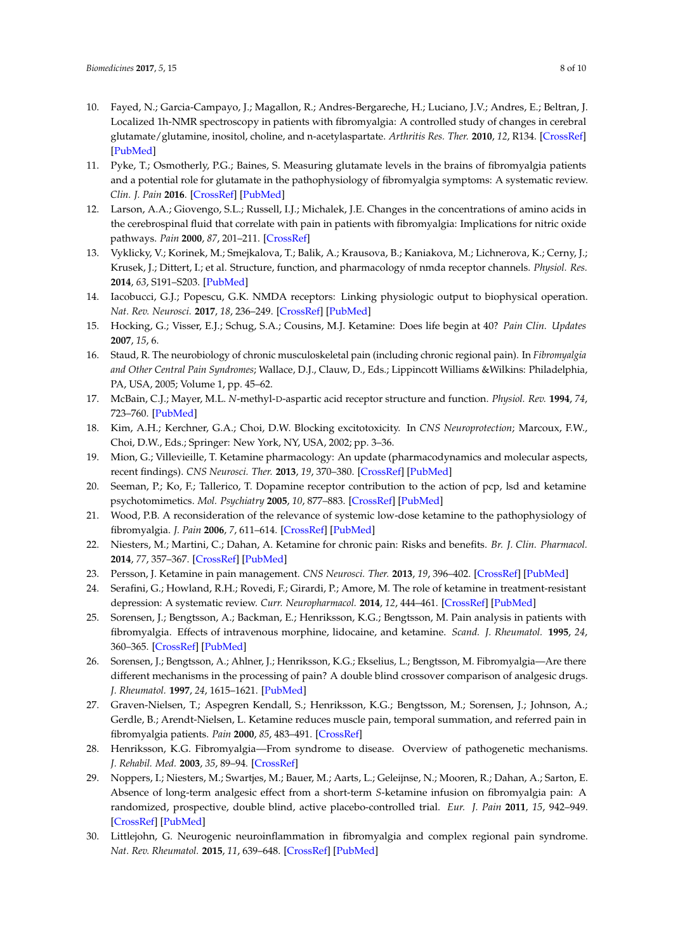- <span id="page-7-0"></span>10. Fayed, N.; Garcia-Campayo, J.; Magallon, R.; Andres-Bergareche, H.; Luciano, J.V.; Andres, E.; Beltran, J. Localized 1h-NMR spectroscopy in patients with fibromyalgia: A controlled study of changes in cerebral glutamate/glutamine, inositol, choline, and n-acetylaspartate. *Arthritis Res. Ther.* **2010**, *12*, R134. [\[CrossRef\]](http://dx.doi.org/10.1186/ar3072) [\[PubMed\]](http://www.ncbi.nlm.nih.gov/pubmed/20609227)
- <span id="page-7-1"></span>11. Pyke, T.; Osmotherly, P.G.; Baines, S. Measuring glutamate levels in the brains of fibromyalgia patients and a potential role for glutamate in the pathophysiology of fibromyalgia symptoms: A systematic review. *Clin. J. Pain* **2016**. [\[CrossRef\]](http://dx.doi.org/10.1097/AJP.0000000000000474) [\[PubMed\]](http://www.ncbi.nlm.nih.gov/pubmed/28033157)
- <span id="page-7-2"></span>12. Larson, A.A.; Giovengo, S.L.; Russell, I.J.; Michalek, J.E. Changes in the concentrations of amino acids in the cerebrospinal fluid that correlate with pain in patients with fibromyalgia: Implications for nitric oxide pathways. *Pain* **2000**, *87*, 201–211. [\[CrossRef\]](http://dx.doi.org/10.1016/S0304-3959(00)00284-0)
- <span id="page-7-3"></span>13. Vyklicky, V.; Korinek, M.; Smejkalova, T.; Balik, A.; Krausova, B.; Kaniakova, M.; Lichnerova, K.; Cerny, J.; Krusek, J.; Dittert, I.; et al. Structure, function, and pharmacology of nmda receptor channels. *Physiol. Res.* **2014**, *63*, S191–S203. [\[PubMed\]](http://www.ncbi.nlm.nih.gov/pubmed/24564659)
- <span id="page-7-4"></span>14. Iacobucci, G.J.; Popescu, G.K. NMDA receptors: Linking physiologic output to biophysical operation. *Nat. Rev. Neurosci.* **2017**, *18*, 236–249. [\[CrossRef\]](http://dx.doi.org/10.1038/nrn.2017.24) [\[PubMed\]](http://www.ncbi.nlm.nih.gov/pubmed/28303017)
- <span id="page-7-5"></span>15. Hocking, G.; Visser, E.J.; Schug, S.A.; Cousins, M.J. Ketamine: Does life begin at 40? *Pain Clin. Updates* **2007**, *15*, 6.
- <span id="page-7-6"></span>16. Staud, R. The neurobiology of chronic musculoskeletal pain (including chronic regional pain). In *Fibromyalgia and Other Central Pain Syndromes*; Wallace, D.J., Clauw, D., Eds.; Lippincott Williams &Wilkins: Philadelphia, PA, USA, 2005; Volume 1, pp. 45–62.
- <span id="page-7-7"></span>17. McBain, C.J.; Mayer, M.L. *N*-methyl-D-aspartic acid receptor structure and function. *Physiol. Rev.* **1994**, *74*, 723–760. [\[PubMed\]](http://www.ncbi.nlm.nih.gov/pubmed/8036251)
- <span id="page-7-8"></span>18. Kim, A.H.; Kerchner, G.A.; Choi, D.W. Blocking excitotoxicity. In *CNS Neuroprotection*; Marcoux, F.W., Choi, D.W., Eds.; Springer: New York, NY, USA, 2002; pp. 3–36.
- <span id="page-7-9"></span>19. Mion, G.; Villevieille, T. Ketamine pharmacology: An update (pharmacodynamics and molecular aspects, recent findings). *CNS Neurosci. Ther.* **2013**, *19*, 370–380. [\[CrossRef\]](http://dx.doi.org/10.1111/cns.12099) [\[PubMed\]](http://www.ncbi.nlm.nih.gov/pubmed/23575437)
- <span id="page-7-10"></span>20. Seeman, P.; Ko, F.; Tallerico, T. Dopamine receptor contribution to the action of pcp, lsd and ketamine psychotomimetics. *Mol. Psychiatry* **2005**, *10*, 877–883. [\[CrossRef\]](http://dx.doi.org/10.1038/sj.mp.4001682) [\[PubMed\]](http://www.ncbi.nlm.nih.gov/pubmed/15852061)
- <span id="page-7-11"></span>21. Wood, P.B. A reconsideration of the relevance of systemic low-dose ketamine to the pathophysiology of fibromyalgia. *J. Pain* **2006**, *7*, 611–614. [\[CrossRef\]](http://dx.doi.org/10.1016/j.jpain.2006.01.457) [\[PubMed\]](http://www.ncbi.nlm.nih.gov/pubmed/16942946)
- <span id="page-7-12"></span>22. Niesters, M.; Martini, C.; Dahan, A. Ketamine for chronic pain: Risks and benefits. *Br. J. Clin. Pharmacol.* **2014**, *77*, 357–367. [\[CrossRef\]](http://dx.doi.org/10.1111/bcp.12094) [\[PubMed\]](http://www.ncbi.nlm.nih.gov/pubmed/23432384)
- <span id="page-7-13"></span>23. Persson, J. Ketamine in pain management. *CNS Neurosci. Ther.* **2013**, *19*, 396–402. [\[CrossRef\]](http://dx.doi.org/10.1111/cns.12111) [\[PubMed\]](http://www.ncbi.nlm.nih.gov/pubmed/23663314)
- <span id="page-7-14"></span>24. Serafini, G.; Howland, R.H.; Rovedi, F.; Girardi, P.; Amore, M. The role of ketamine in treatment-resistant depression: A systematic review. *Curr. Neuropharmacol.* **2014**, *12*, 444–461. [\[CrossRef\]](http://dx.doi.org/10.2174/1570159X12666140619204251) [\[PubMed\]](http://www.ncbi.nlm.nih.gov/pubmed/25426012)
- <span id="page-7-15"></span>25. Sorensen, J.; Bengtsson, A.; Backman, E.; Henriksson, K.G.; Bengtsson, M. Pain analysis in patients with fibromyalgia. Effects of intravenous morphine, lidocaine, and ketamine. *Scand. J. Rheumatol.* **1995**, *24*, 360–365. [\[CrossRef\]](http://dx.doi.org/10.3109/03009749509095181) [\[PubMed\]](http://www.ncbi.nlm.nih.gov/pubmed/8610220)
- <span id="page-7-16"></span>26. Sorensen, J.; Bengtsson, A.; Ahlner, J.; Henriksson, K.G.; Ekselius, L.; Bengtsson, M. Fibromyalgia—Are there different mechanisms in the processing of pain? A double blind crossover comparison of analgesic drugs. *J. Rheumatol.* **1997**, *24*, 1615–1621. [\[PubMed\]](http://www.ncbi.nlm.nih.gov/pubmed/9263160)
- <span id="page-7-17"></span>27. Graven-Nielsen, T.; Aspegren Kendall, S.; Henriksson, K.G.; Bengtsson, M.; Sorensen, J.; Johnson, A.; Gerdle, B.; Arendt-Nielsen, L. Ketamine reduces muscle pain, temporal summation, and referred pain in fibromyalgia patients. *Pain* **2000**, *85*, 483–491. [\[CrossRef\]](http://dx.doi.org/10.1016/S0304-3959(99)00308-5)
- <span id="page-7-18"></span>28. Henriksson, K.G. Fibromyalgia—From syndrome to disease. Overview of pathogenetic mechanisms. *J. Rehabil. Med.* **2003**, *35*, 89–94. [\[CrossRef\]](http://dx.doi.org/10.1080/16501960310010215)
- <span id="page-7-19"></span>29. Noppers, I.; Niesters, M.; Swartjes, M.; Bauer, M.; Aarts, L.; Geleijnse, N.; Mooren, R.; Dahan, A.; Sarton, E. Absence of long-term analgesic effect from a short-term *S*-ketamine infusion on fibromyalgia pain: A randomized, prospective, double blind, active placebo-controlled trial. *Eur. J. Pain* **2011**, *15*, 942–949. [\[CrossRef\]](http://dx.doi.org/10.1016/j.ejpain.2011.03.008) [\[PubMed\]](http://www.ncbi.nlm.nih.gov/pubmed/21482474)
- <span id="page-7-20"></span>30. Littlejohn, G. Neurogenic neuroinflammation in fibromyalgia and complex regional pain syndrome. *Nat. Rev. Rheumatol.* **2015**, *11*, 639–648. [\[CrossRef\]](http://dx.doi.org/10.1038/nrrheum.2015.100) [\[PubMed\]](http://www.ncbi.nlm.nih.gov/pubmed/26241184)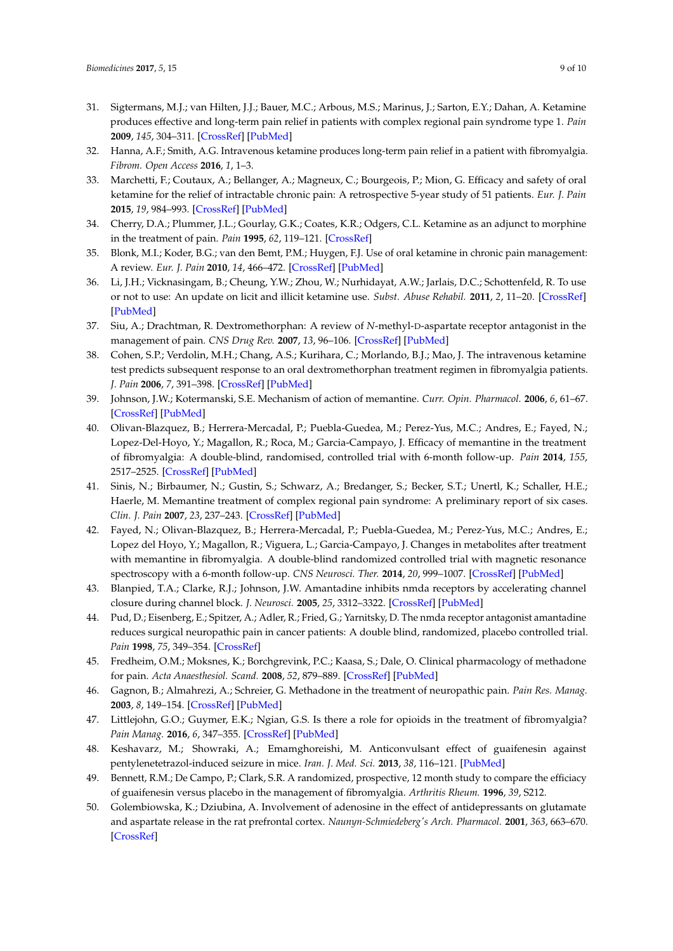- <span id="page-8-0"></span>31. Sigtermans, M.J.; van Hilten, J.J.; Bauer, M.C.; Arbous, M.S.; Marinus, J.; Sarton, E.Y.; Dahan, A. Ketamine produces effective and long-term pain relief in patients with complex regional pain syndrome type 1. *Pain* **2009**, *145*, 304–311. [\[CrossRef\]](http://dx.doi.org/10.1016/j.pain.2009.06.023) [\[PubMed\]](http://www.ncbi.nlm.nih.gov/pubmed/19604642)
- <span id="page-8-1"></span>32. Hanna, A.F.; Smith, A.G. Intravenous ketamine produces long-term pain relief in a patient with fibromyalgia. *Fibrom. Open Access* **2016**, *1*, 1–3.
- <span id="page-8-2"></span>33. Marchetti, F.; Coutaux, A.; Bellanger, A.; Magneux, C.; Bourgeois, P.; Mion, G. Efficacy and safety of oral ketamine for the relief of intractable chronic pain: A retrospective 5-year study of 51 patients. *Eur. J. Pain* **2015**, *19*, 984–993. [\[CrossRef\]](http://dx.doi.org/10.1002/ejp.624) [\[PubMed\]](http://www.ncbi.nlm.nih.gov/pubmed/25381898)
- <span id="page-8-3"></span>34. Cherry, D.A.; Plummer, J.L.; Gourlay, G.K.; Coates, K.R.; Odgers, C.L. Ketamine as an adjunct to morphine in the treatment of pain. *Pain* **1995**, *62*, 119–121. [\[CrossRef\]](http://dx.doi.org/10.1016/0304-3959(95)00010-P)
- <span id="page-8-4"></span>35. Blonk, M.I.; Koder, B.G.; van den Bemt, P.M.; Huygen, F.J. Use of oral ketamine in chronic pain management: A review. *Eur. J. Pain* **2010**, *14*, 466–472. [\[CrossRef\]](http://dx.doi.org/10.1016/j.ejpain.2009.09.005) [\[PubMed\]](http://www.ncbi.nlm.nih.gov/pubmed/19879174)
- <span id="page-8-5"></span>36. Li, J.H.; Vicknasingam, B.; Cheung, Y.W.; Zhou, W.; Nurhidayat, A.W.; Jarlais, D.C.; Schottenfeld, R. To use or not to use: An update on licit and illicit ketamine use. *Subst. Abuse Rehabil.* **2011**, *2*, 11–20. [\[CrossRef\]](http://dx.doi.org/10.2147/SAR.S15458) [\[PubMed\]](http://www.ncbi.nlm.nih.gov/pubmed/24474851)
- <span id="page-8-6"></span>37. Siu, A.; Drachtman, R. Dextromethorphan: A review of *N*-methyl-D-aspartate receptor antagonist in the management of pain. *CNS Drug Rev.* **2007**, *13*, 96–106. [\[CrossRef\]](http://dx.doi.org/10.1111/j.1527-3458.2007.00006.x) [\[PubMed\]](http://www.ncbi.nlm.nih.gov/pubmed/17461892)
- <span id="page-8-7"></span>38. Cohen, S.P.; Verdolin, M.H.; Chang, A.S.; Kurihara, C.; Morlando, B.J.; Mao, J. The intravenous ketamine test predicts subsequent response to an oral dextromethorphan treatment regimen in fibromyalgia patients. *J. Pain* **2006**, *7*, 391–398. [\[CrossRef\]](http://dx.doi.org/10.1016/j.jpain.2005.12.010) [\[PubMed\]](http://www.ncbi.nlm.nih.gov/pubmed/16750795)
- <span id="page-8-8"></span>39. Johnson, J.W.; Kotermanski, S.E. Mechanism of action of memantine. *Curr. Opin. Pharmacol.* **2006**, *6*, 61–67. [\[CrossRef\]](http://dx.doi.org/10.1016/j.coph.2005.09.007) [\[PubMed\]](http://www.ncbi.nlm.nih.gov/pubmed/16368266)
- <span id="page-8-9"></span>40. Olivan-Blazquez, B.; Herrera-Mercadal, P.; Puebla-Guedea, M.; Perez-Yus, M.C.; Andres, E.; Fayed, N.; Lopez-Del-Hoyo, Y.; Magallon, R.; Roca, M.; Garcia-Campayo, J. Efficacy of memantine in the treatment of fibromyalgia: A double-blind, randomised, controlled trial with 6-month follow-up. *Pain* **2014**, *155*, 2517–2525. [\[CrossRef\]](http://dx.doi.org/10.1016/j.pain.2014.09.004) [\[PubMed\]](http://www.ncbi.nlm.nih.gov/pubmed/25218600)
- <span id="page-8-10"></span>41. Sinis, N.; Birbaumer, N.; Gustin, S.; Schwarz, A.; Bredanger, S.; Becker, S.T.; Unertl, K.; Schaller, H.E.; Haerle, M. Memantine treatment of complex regional pain syndrome: A preliminary report of six cases. *Clin. J. Pain* **2007**, *23*, 237–243. [\[CrossRef\]](http://dx.doi.org/10.1097/AJP.0b013e31802f67a7) [\[PubMed\]](http://www.ncbi.nlm.nih.gov/pubmed/17314583)
- <span id="page-8-11"></span>42. Fayed, N.; Olivan-Blazquez, B.; Herrera-Mercadal, P.; Puebla-Guedea, M.; Perez-Yus, M.C.; Andres, E.; Lopez del Hoyo, Y.; Magallon, R.; Viguera, L.; Garcia-Campayo, J. Changes in metabolites after treatment with memantine in fibromyalgia. A double-blind randomized controlled trial with magnetic resonance spectroscopy with a 6-month follow-up. *CNS Neurosci. Ther.* **2014**, *20*, 999–1007. [\[CrossRef\]](http://dx.doi.org/10.1111/cns.12314) [\[PubMed\]](http://www.ncbi.nlm.nih.gov/pubmed/25230216)
- <span id="page-8-12"></span>43. Blanpied, T.A.; Clarke, R.J.; Johnson, J.W. Amantadine inhibits nmda receptors by accelerating channel closure during channel block. *J. Neurosci.* **2005**, *25*, 3312–3322. [\[CrossRef\]](http://dx.doi.org/10.1523/JNEUROSCI.4262-04.2005) [\[PubMed\]](http://www.ncbi.nlm.nih.gov/pubmed/15800186)
- <span id="page-8-13"></span>44. Pud, D.; Eisenberg, E.; Spitzer, A.; Adler, R.; Fried, G.; Yarnitsky, D. The nmda receptor antagonist amantadine reduces surgical neuropathic pain in cancer patients: A double blind, randomized, placebo controlled trial. *Pain* **1998**, *75*, 349–354. [\[CrossRef\]](http://dx.doi.org/10.1016/S0304-3959(98)00014-1)
- <span id="page-8-14"></span>45. Fredheim, O.M.; Moksnes, K.; Borchgrevink, P.C.; Kaasa, S.; Dale, O. Clinical pharmacology of methadone for pain. *Acta Anaesthesiol. Scand.* **2008**, *52*, 879–889. [\[CrossRef\]](http://dx.doi.org/10.1111/j.1399-6576.2008.01597.x) [\[PubMed\]](http://www.ncbi.nlm.nih.gov/pubmed/18331375)
- <span id="page-8-15"></span>46. Gagnon, B.; Almahrezi, A.; Schreier, G. Methadone in the treatment of neuropathic pain. *Pain Res. Manag.* **2003**, *8*, 149–154. [\[CrossRef\]](http://dx.doi.org/10.1155/2003/236718) [\[PubMed\]](http://www.ncbi.nlm.nih.gov/pubmed/14657982)
- <span id="page-8-16"></span>47. Littlejohn, G.O.; Guymer, E.K.; Ngian, G.S. Is there a role for opioids in the treatment of fibromyalgia? *Pain Manag.* **2016**, *6*, 347–355. [\[CrossRef\]](http://dx.doi.org/10.2217/pmt-2016-0012) [\[PubMed\]](http://www.ncbi.nlm.nih.gov/pubmed/27296831)
- <span id="page-8-17"></span>48. Keshavarz, M.; Showraki, A.; Emamghoreishi, M. Anticonvulsant effect of guaifenesin against pentylenetetrazol-induced seizure in mice. *Iran. J. Med. Sci.* **2013**, *38*, 116–121. [\[PubMed\]](http://www.ncbi.nlm.nih.gov/pubmed/23825891)
- <span id="page-8-18"></span>49. Bennett, R.M.; De Campo, P.; Clark, S.R. A randomized, prospective, 12 month study to compare the efficiacy of guaifenesin versus placebo in the management of fibromyalgia. *Arthritis Rheum.* **1996**, *39*, S212.
- <span id="page-8-19"></span>50. Golembiowska, K.; Dziubina, A. Involvement of adenosine in the effect of antidepressants on glutamate and aspartate release in the rat prefrontal cortex. *Naunyn-Schmiedeberg's Arch. Pharmacol.* **2001**, *363*, 663–670. [\[CrossRef\]](http://dx.doi.org/10.1007/s002100100421)